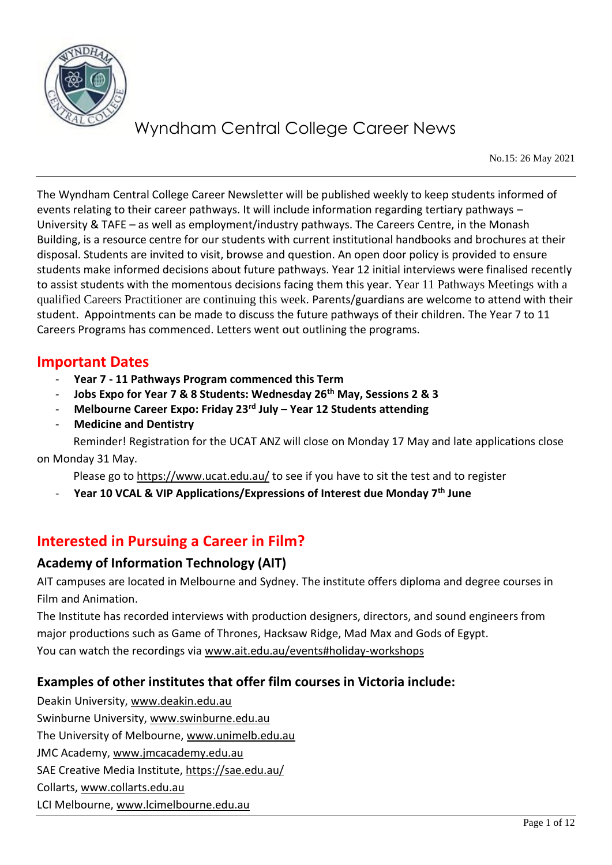

No.15: 26 May 2021

The Wyndham Central College Career Newsletter will be published weekly to keep students informed of events relating to their career pathways. It will include information regarding tertiary pathways – University & TAFE – as well as employment/industry pathways. The Careers Centre, in the Monash Building, is a resource centre for our students with current institutional handbooks and brochures at their disposal. Students are invited to visit, browse and question. An open door policy is provided to ensure students make informed decisions about future pathways. Year 12 initial interviews were finalised recently to assist students with the momentous decisions facing them this year. Year 11 Pathways Meetings with a qualified Careers Practitioner are continuing this week. Parents/guardians are welcome to attend with their student. Appointments can be made to discuss the future pathways of their children. The Year 7 to 11 Careers Programs has commenced. Letters went out outlining the programs.

### **Important Dates**

- **Year 7 - 11 Pathways Program commenced this Term**
- **Jobs Expo for Year 7 & 8 Students: Wednesday 26th May, Sessions 2 & 3**
- **Melbourne Career Expo: Friday 23rd July – Year 12 Students attending**
- **Medicine and Dentistry**

 Reminder! Registration for the UCAT ANZ will close on Monday 17 May and late applications close on Monday 31 May.

Please go to <https://www.ucat.edu.au/> to see if you have to sit the test and to register

- **Year 10 VCAL & VIP Applications/Expressions of Interest due Monday 7th June**

## **Interested in Pursuing a Career in Film?**

### **Academy of Information Technology (AIT)**

AIT campuses are located in Melbourne and Sydney. The institute offers diploma and degree courses in Film and Animation.

The Institute has recorded interviews with production designers, directors, and sound engineers from major productions such as Game of Thrones, Hacksaw Ridge, Mad Max and Gods of Egypt. You can watch the recordings via [www.ait.edu.au/events#holiday-workshops](http://www.ait.edu.au/events#holiday-workshops)

### **Examples of other institutes that offer film courses in Victoria include:**

Deakin University, [www.deakin.edu.au](http://www.deakin.edu.au/) Swinburne University, [www.swinburne.edu.au](http://www.swinburne.edu.au/) The University of Melbourne, [www.unimelb.edu.au](http://www.unimelb.edu.au/) JMC Academy, [www.jmcacademy.edu.au](http://www.jmcacademy.edu.au/) SAE Creative Media Institute,<https://sae.edu.au/> Collarts, [www.collarts.edu.au](http://www.collarts.edu.au/) LCI Melbourne, [www.lcimelbourne.edu.au](http://www.lcimelbourne.edu.au/)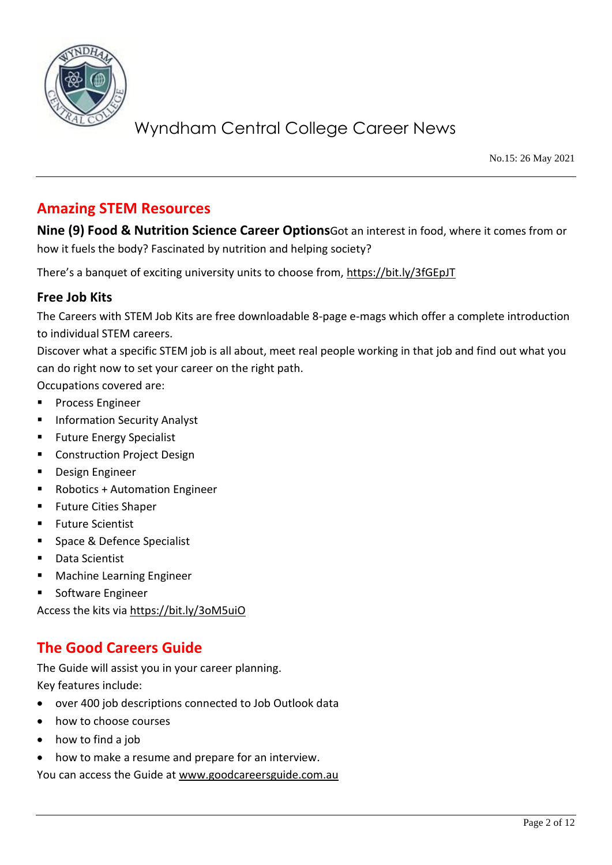

No.15: 26 May 2021

## **Amazing STEM Resources**

**Nine (9) Food & Nutrition Science Career Options**Got an interest in food, where it comes from or how it fuels the body? Fascinated by nutrition and helping society?

There's a banquet of exciting university units to choose from,<https://bit.ly/3fGEpJT>

### **Free Job Kits**

The Careers with STEM Job Kits are free downloadable 8-page e-mags which offer a complete introduction to individual STEM careers.

Discover what a specific STEM job is all about, meet real people working in that job and find out what you can do right now to set your career on the right path.

Occupations covered are:

- Process Engineer
- **Information Security Analyst**
- **Future Energy Specialist**
- Construction Project Design
- Design Engineer
- **Robotics + Automation Engineer**
- **Future Cities Shaper**
- **Future Scientist**
- Space & Defence Specialist
- Data Scientist
- **Machine Learning Engineer**
- Software Engineer

Access the kits via<https://bit.ly/3oM5uiO>

## **The Good Careers Guide**

The Guide will assist you in your career planning. Key features include:

- over 400 job descriptions connected to Job Outlook data
- how to choose courses
- how to find a job
- how to make a resume and prepare for an interview.

You can access the Guide at [www.goodcareersguide.com.au](http://www.goodcareersguide.com.au/)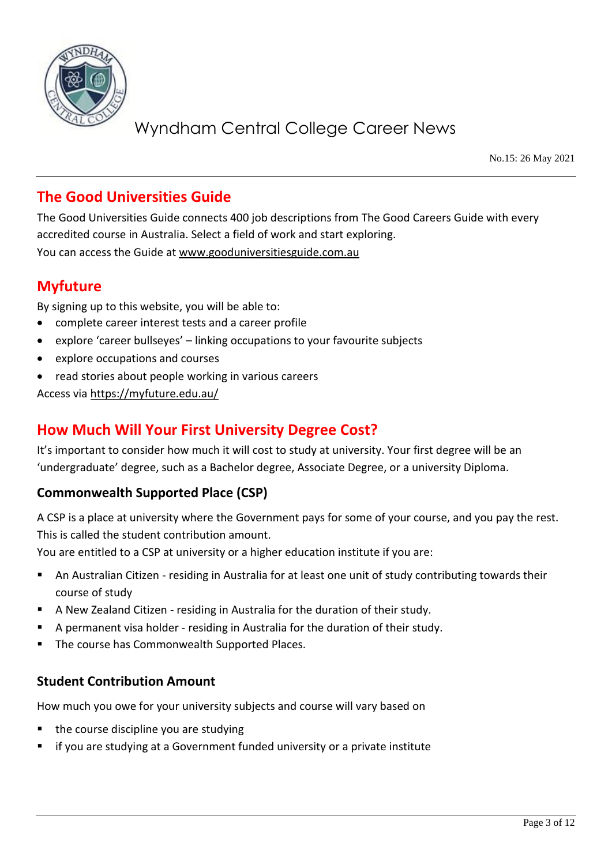

No.15: 26 May 2021

# **The Good Universities Guide**

The Good Universities Guide connects 400 job descriptions from The Good Careers Guide with every accredited course in Australia. Select a field of work and start exploring. You can access the Guide at [www.gooduniversitiesguide.com.au](http://www.gooduniversitiesguide.com.au/)

## **Myfuture**

By signing up to this website, you will be able to:

- complete career interest tests and a career profile
- explore 'career bullseyes' linking occupations to your favourite subjects
- explore occupations and courses
- read stories about people working in various careers

Access via<https://myfuture.edu.au/>

## **How Much Will Your First University Degree Cost?**

It's important to consider how much it will cost to study at university. Your first degree will be an 'undergraduate' degree, such as a Bachelor degree, Associate Degree, or a university Diploma.

### **Commonwealth Supported Place (CSP)**

A CSP is a place at university where the Government pays for some of your course, and you pay the rest. This is called the student contribution amount.

You are entitled to a CSP at university or a higher education institute if you are:

- An Australian Citizen residing in Australia for at least one unit of study contributing towards their course of study
- A New Zealand Citizen residing in Australia for the duration of their study.
- A permanent visa holder residing in Australia for the duration of their study.
- The course has Commonwealth Supported Places.

### **Student Contribution Amount**

How much you owe for your university subjects and course will vary based on

- the course discipline you are studying
- if you are studying at a Government funded university or a private institute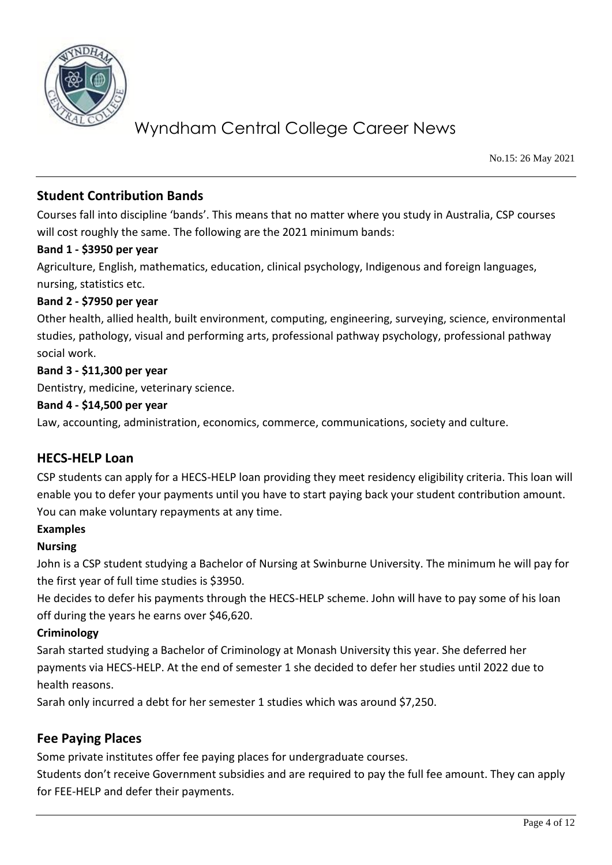

No.15: 26 May 2021

### **Student Contribution Bands**

Courses fall into discipline 'bands'. This means that no matter where you study in Australia, CSP courses will cost roughly the same. The following are the 2021 minimum bands:

### **Band 1 - \$3950 per year**

Agriculture, English, mathematics, education, clinical psychology, Indigenous and foreign languages, nursing, statistics etc.

### **Band 2 - \$7950 per year**

Other health, allied health, built environment, computing, engineering, surveying, science, environmental studies, pathology, visual and performing arts, professional pathway psychology, professional pathway social work.

### **Band 3 - \$11,300 per year**

Dentistry, medicine, veterinary science.

#### **Band 4 - \$14,500 per year**

Law, accounting, administration, economics, commerce, communications, society and culture.

### **HECS-HELP Loan**

CSP students can apply for a HECS-HELP loan providing they meet residency eligibility criteria. This loan will enable you to defer your payments until you have to start paying back your student contribution amount. You can make voluntary repayments at any time.

#### **Examples**

#### **Nursing**

John is a CSP student studying a Bachelor of Nursing at Swinburne University. The minimum he will pay for the first year of full time studies is \$3950.

He decides to defer his payments through the HECS-HELP scheme. John will have to pay some of his loan off during the years he earns over \$46,620.

### **Criminology**

Sarah started studying a Bachelor of Criminology at Monash University this year. She deferred her payments via HECS-HELP. At the end of semester 1 she decided to defer her studies until 2022 due to health reasons.

Sarah only incurred a debt for her semester 1 studies which was around \$7,250.

### **Fee Paying Places**

Some private institutes offer fee paying places for undergraduate courses.

Students don't receive Government subsidies and are required to pay the full fee amount. They can apply for FEE-HELP and defer their payments.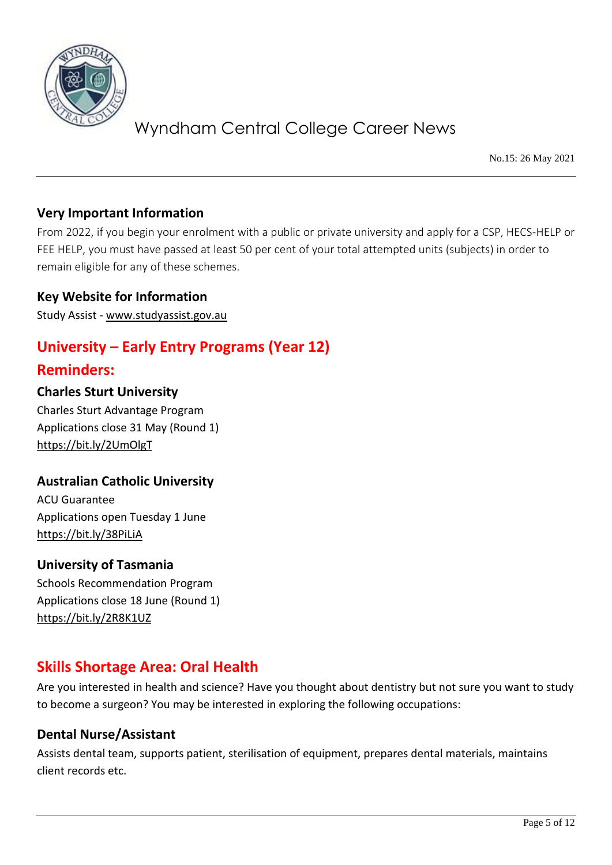

No.15: 26 May 2021

### **Very Important Information**

From 2022, if you begin your enrolment with a public or private university and apply for a CSP, HECS-HELP or FEE HELP, you must have passed at least 50 per cent of your total attempted units (subjects) in order to remain eligible for any of these schemes.

### **Key Website for Information**

Study Assist - [www.studyassist.gov.au](http://www.studyassist.gov.au/)

# **University – Early Entry Programs (Year 12)**

### **Reminders:**

### **Charles Sturt University**

Charles Sturt Advantage Program Applications close 31 May (Round 1) <https://bit.ly/2UmOlgT>

### **Australian Catholic University**

ACU Guarantee Applications open Tuesday 1 June <https://bit.ly/38PiLiA>

### **University of Tasmania**

Schools Recommendation Program Applications close 18 June (Round 1) <https://bit.ly/2R8K1UZ>

## **Skills Shortage Area: Oral Health**

Are you interested in health and science? Have you thought about dentistry but not sure you want to study to become a surgeon? You may be interested in exploring the following occupations:

### **Dental Nurse/Assistant**

Assists dental team, supports patient, sterilisation of equipment, prepares dental materials, maintains client records etc.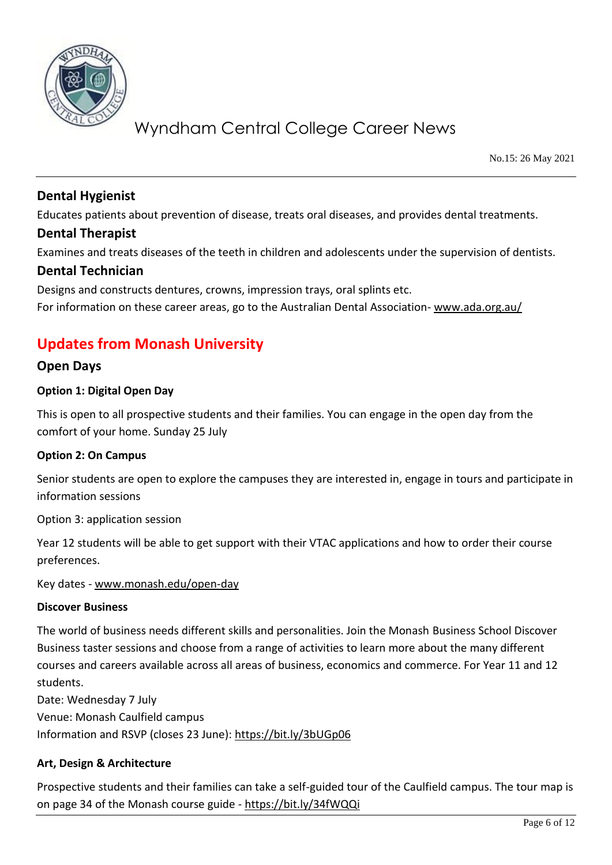

No.15: 26 May 2021

### **Dental Hygienist**

Educates patients about prevention of disease, treats oral diseases, and provides dental treatments.

### **Dental Therapist**

Examines and treats diseases of the teeth in children and adolescents under the supervision of dentists.

### **Dental Technician**

Designs and constructs dentures, crowns, impression trays, oral splints etc. For information on these career areas, go to the Australian Dental Association- [www.ada.org.au/](http://www.ada.org.au/)

# **Updates from Monash University**

### **Open Days**

### **Option 1: Digital Open Day**

This is open to all prospective students and their families. You can engage in the open day from the comfort of your home. Sunday 25 July

### **Option 2: On Campus**

Senior students are open to explore the campuses they are interested in, engage in tours and participate in information sessions

Option 3: application session

Year 12 students will be able to get support with their VTAC applications and how to order their course preferences.

Key dates - [www.monash.edu/open-day](http://www.monash.edu/open-day)

### **Discover Business**

The world of business needs different skills and personalities. Join the Monash Business School Discover Business taster sessions and choose from a range of activities to learn more about the many different courses and careers available across all areas of business, economics and commerce. For Year 11 and 12 students.

Date: Wednesday 7 July Venue: Monash Caulfield campus Information and RSVP (closes 23 June):<https://bit.ly/3bUGp06>

### **Art, Design & Architecture**

Prospective students and their families can take a self-guided tour of the Caulfield campus. The tour map is on page 34 of the Monash course guide - <https://bit.ly/34fWQQi>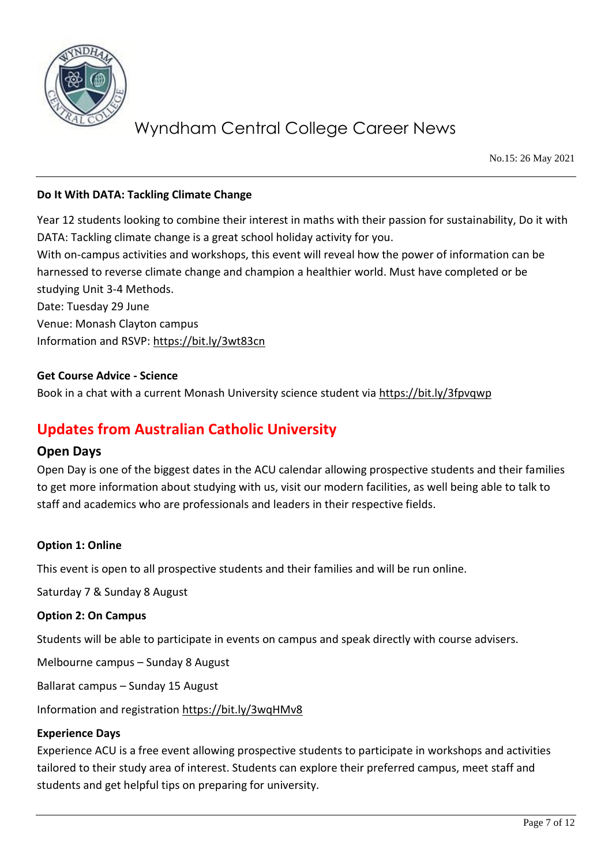

No.15: 26 May 2021

#### **Do It With DATA: Tackling Climate Change**

Year 12 students looking to combine their interest in maths with their passion for sustainability, Do it with DATA: Tackling climate change is a great school holiday activity for you.

With on-campus activities and workshops, this event will reveal how the power of information can be harnessed to reverse climate change and champion a healthier world. Must have completed or be studying Unit 3-4 Methods.

Date: Tuesday 29 June Venue: Monash Clayton campus Information and RSVP:<https://bit.ly/3wt83cn>

#### **Get Course Advice - Science**

Book in a chat with a current Monash University science student via<https://bit.ly/3fpvqwp>

## **Updates from Australian Catholic University**

### **Open Days**

Open Day is one of the biggest dates in the ACU calendar allowing prospective students and their families to get more information about studying with us, visit our modern facilities, as well being able to talk to staff and academics who are professionals and leaders in their respective fields.

#### **Option 1: Online**

This event is open to all prospective students and their families and will be run online.

Saturday 7 & Sunday 8 August

#### **Option 2: On Campus**

Students will be able to participate in events on campus and speak directly with course advisers.

Melbourne campus – Sunday 8 August

Ballarat campus – Sunday 15 August

Information and registration<https://bit.ly/3wqHMv8>

#### **Experience Days**

Experience ACU is a free event allowing prospective students to participate in workshops and activities tailored to their study area of interest. Students can explore their preferred campus, meet staff and students and get helpful tips on preparing for university.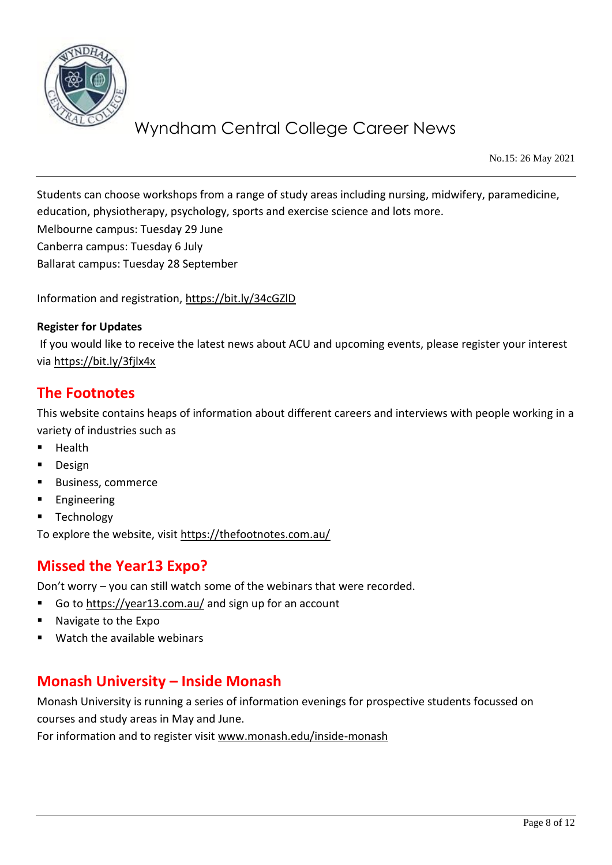

No.15: 26 May 2021

Students can choose workshops from a range of study areas including nursing, midwifery, paramedicine, education, physiotherapy, psychology, sports and exercise science and lots more.

Melbourne campus: Tuesday 29 June

Canberra campus: Tuesday 6 July

Ballarat campus: Tuesday 28 September

Information and registration,<https://bit.ly/34cGZlD>

#### **Register for Updates**

If you would like to receive the latest news about ACU and upcoming events, please register your interest via<https://bit.ly/3fjlx4x>

### **The Footnotes**

This website contains heaps of information about different careers and interviews with people working in a variety of industries such as

- **Health**
- Design
- Business, commerce
- **■** Engineering
- Technology

To explore the website, visit<https://thefootnotes.com.au/>

## **Missed the Year13 Expo?**

Don't worry – you can still watch some of the webinars that were recorded.

- Go t[o https://year13.com.au/](https://year13.com.au/) and sign up for an account
- Navigate to the Expo
- Watch the available webinars

## **Monash University – Inside Monash**

Monash University is running a series of information evenings for prospective students focussed on courses and study areas in May and June.

For information and to register visit [www.monash.edu/inside-monash](http://www.monash.edu/inside-monash)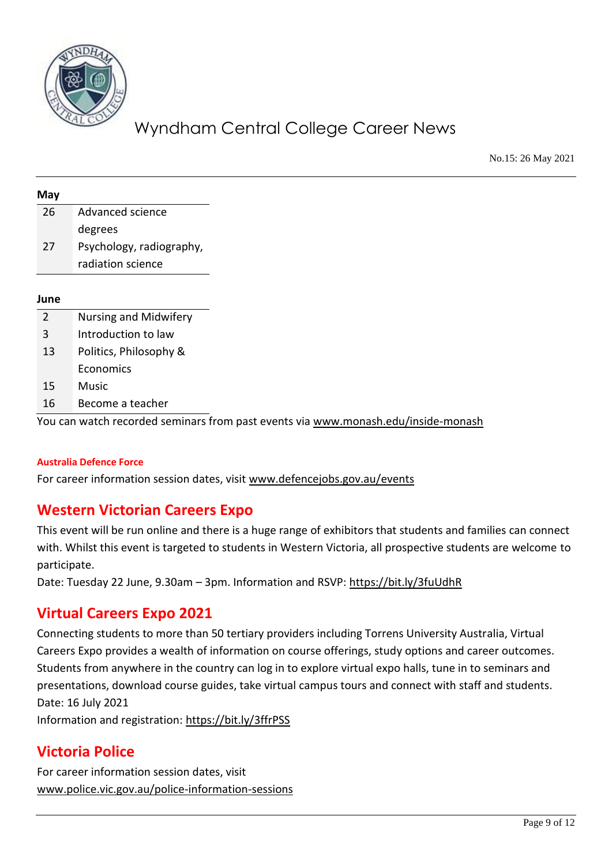

No.15: 26 May 2021

| <b>May</b> |                              |
|------------|------------------------------|
| 26         | Advanced science             |
|            | degrees                      |
|            | Psychology, radiography,     |
|            | radiation science            |
|            |                              |
|            |                              |
|            | <b>Nursing and Midwifery</b> |
|            | Introduction to law          |
|            | Politics, Philosophy &       |
|            | Economics                    |
|            | <b>Music</b>                 |
|            | Become a teacher             |

#### **Australia Defence Force**

For career information session dates, visit [www.defencejobs.gov.au/events](http://www.defencejobs.gov.au/events)

## **Western Victorian Careers Expo**

This event will be run online and there is a huge range of exhibitors that students and families can connect with. Whilst this event is targeted to students in Western Victoria, all prospective students are welcome to participate.

Date: Tuesday 22 June, 9.30am – 3pm. Information and RSVP:<https://bit.ly/3fuUdhR>

## **Virtual Careers Expo 2021**

Connecting students to more than 50 tertiary providers including Torrens University Australia, Virtual Careers Expo provides a wealth of information on course offerings, study options and career outcomes. Students from anywhere in the country can log in to explore virtual expo halls, tune in to seminars and presentations, download course guides, take virtual campus tours and connect with staff and students. Date: 16 July 2021

Information and registration:<https://bit.ly/3ffrPSS>

## **Victoria Police**

For career information session dates, visit [www.police.vic.gov.au/police-information-sessions](http://www.police.vic.gov.au/police-information-sessions)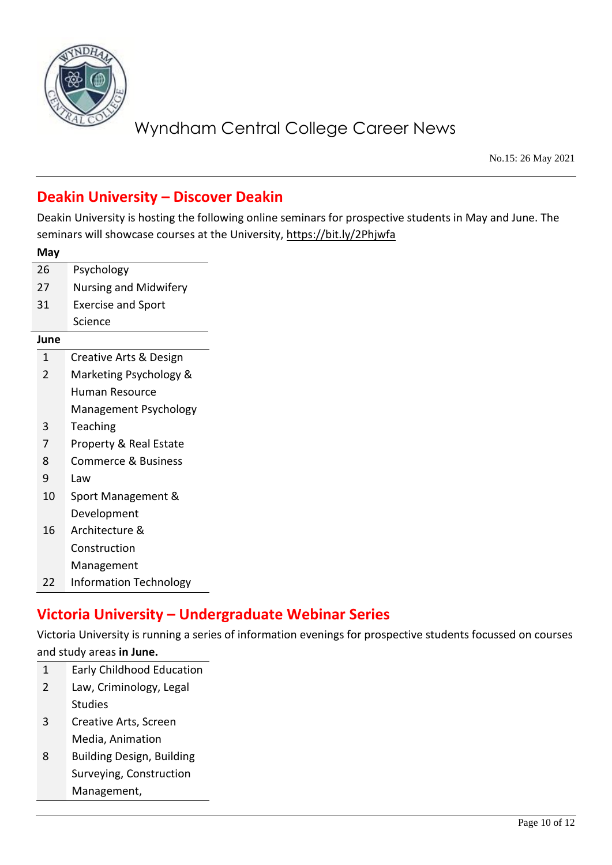

No.15: 26 May 2021

# **Deakin University – Discover Deakin**

Deakin University is hosting the following online seminars for prospective students in May and June. The seminars will showcase courses at the University[, https://bit.ly/2Phjwfa](https://bit.ly/2Phjwfa)

| May            |                                   |  |  |  |  |
|----------------|-----------------------------------|--|--|--|--|
| 26             | Psychology                        |  |  |  |  |
| 27             | <b>Nursing and Midwifery</b>      |  |  |  |  |
| 31             | <b>Exercise and Sport</b>         |  |  |  |  |
|                | Science                           |  |  |  |  |
| June           |                                   |  |  |  |  |
| 1              | Creative Arts & Design            |  |  |  |  |
| $\overline{2}$ | Marketing Psychology &            |  |  |  |  |
|                | Human Resource                    |  |  |  |  |
|                | Management Psychology             |  |  |  |  |
| 3              | Teaching                          |  |  |  |  |
| 7              | <b>Property &amp; Real Estate</b> |  |  |  |  |
| 8              | Commerce & Business               |  |  |  |  |
| 9              | Law                               |  |  |  |  |
| 10             | Sport Management &                |  |  |  |  |
|                | Development                       |  |  |  |  |
| 16             | Architecture &                    |  |  |  |  |
|                | Construction                      |  |  |  |  |
|                | Management                        |  |  |  |  |
| 22             | <b>Information Technology</b>     |  |  |  |  |

# **Victoria University – Undergraduate Webinar Series**

Victoria University is running a series of information evenings for prospective students focussed on courses

#### and study areas **in June.**

- 1 Early Childhood Education 2 Law, Criminology, Legal
	- Studies
- 3 Creative Arts, Screen Media, Animation
- 8 Building Design, Building Surveying, Construction Management,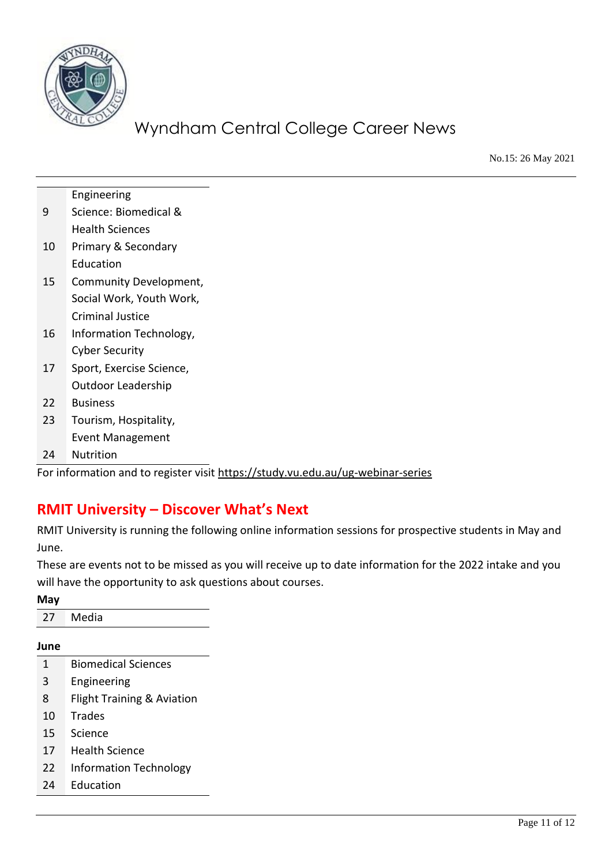

No.15: 26 May 2021

|    | Engineering              |
|----|--------------------------|
| 9  | Science: Biomedical &    |
|    | <b>Health Sciences</b>   |
| 10 | Primary & Secondary      |
|    | Education                |
| 15 | Community Development,   |
|    | Social Work, Youth Work, |
|    | <b>Criminal Justice</b>  |
| 16 | Information Technology,  |
|    | <b>Cyber Security</b>    |
| 17 | Sport, Exercise Science, |
|    | Outdoor Leadership       |
| 22 | <b>Business</b>          |
| 23 | Tourism, Hospitality,    |
|    | <b>Event Management</b>  |
| 24 | Nutrition                |

For information and to register visit<https://study.vu.edu.au/ug-webinar-series>

## **RMIT University – Discover What's Next**

RMIT University is running the following online information sessions for prospective students in May and June.

These are events not to be missed as you will receive up to date information for the 2022 intake and you will have the opportunity to ask questions about courses.

**May**

27 Media

**June**

- 1 Biomedical Sciences
- 3 Engineering
- 8 Flight Training & Aviation
- 10 Trades
- 15 Science
- 17 Health Science
- 22 Information Technology
- 24 Education